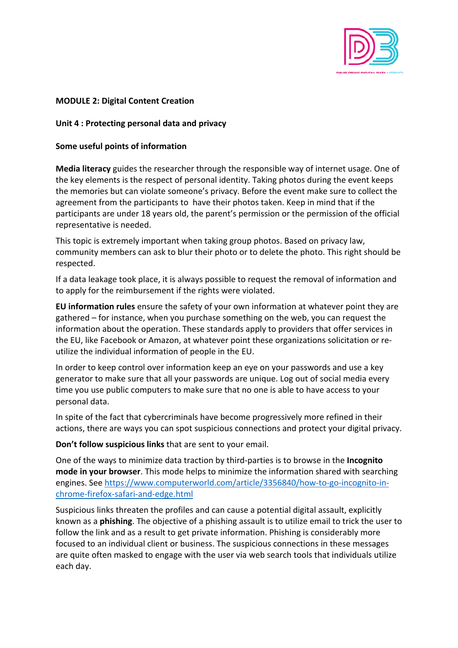

## **MODULE 2: Digital Content Creation**

## **Unit 4 : Protecting personal data and privacy**

## **Some useful points of information**

**Media literacy** guides the researcher through the responsible way of internet usage. One of the key elements is the respect of personal identity. Taking photos during the event keeps the memories but can violate someone's privacy. Before the event make sure to collect the agreement from the participants to have their photos taken. Keep in mind that if the participants are under 18 years old, the parent's permission or the permission of the official representative is needed.

This topic is extremely important when taking group photos. Based on privacy law, community members can ask to blur their photo or to delete the photo. This right should be respected.

If a data leakage took place, it is always possible to request the removal of information and to apply for the reimbursement if the rights were violated.

**EU information rules** ensure the safety of your own information at whatever point they are gathered – for instance, when you purchase something on the web, you can request the information about the operation. These standards apply to providers that offer services in the EU, like Facebook or Amazon, at whatever point these organizations solicitation or reutilize the individual information of people in the EU.

In order to keep control over information keep an eye on your passwords and use a key generator to make sure that all your passwords are unique. Log out of social media every time you use public computers to make sure that no one is able to have access to your personal data.

In spite of the fact that cybercriminals have become progressively more refined in their actions, there are ways you can spot suspicious connections and protect your digital privacy.

**Don't follow suspicious links** that are sent to your email.

One of the ways to minimize data traction by third-parties is to browse in the **Incognito mode in your browser**. This mode helps to minimize the information shared with searching engines. See https://www.computerworld.com/article/3356840/how-to-go-incognito-inchrome-firefox-safari-and-edge.html

Suspicious links threaten the profiles and can cause a potential digital assault, explicitly known as a **phishing**. The objective of a phishing assault is to utilize email to trick the user to follow the link and as a result to get private information. Phishing is considerably more focused to an individual client or business. The suspicious connections in these messages are quite often masked to engage with the user via web search tools that individuals utilize each day.